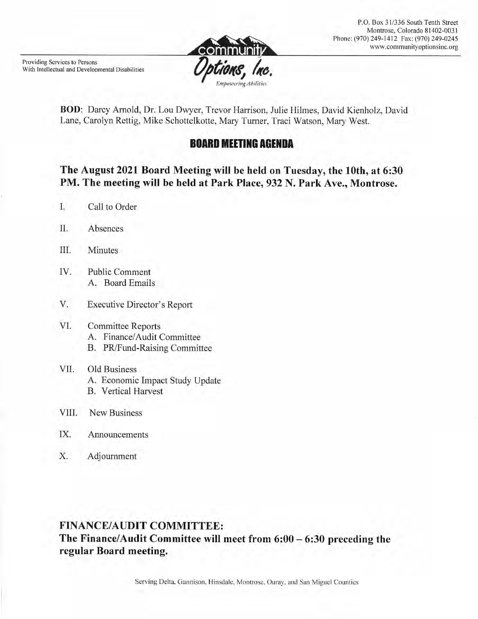BOD: Darcy Arnold, Dr. Lou Dwyer, Trevor Harrison, Julie Hilmes, David Kienholz, David Lane, Carolyn Rettig, Mike Schottelkotte, Mary Turner, Traci Watson, Mary West.

# **BOARD MEETING AGENDA**

## The August 2021 Board Meeting will be held on Tuesday, the 10th, at 6:30 PM. The meeting will be held at Park Place, 932 N. Park Ave., Montrose.

- L. Call to Order
- Absences Π.

Providing Services to Persons

With Intellectual and Developmental Disabilities

- III. **Minutes**
- **Public Comment** IV. A. Board Emails
- V. **Executive Director's Report**

#### VI. **Committee Reports** A. Finance/Audit Committee B. PR/Fund-Raising Committee

- VII. Old Business A. Economic Impact Study Update **B.** Vertical Harvest
- VIII. **New Business**
- IX. Announcements
- X. Adjournment

# **FINANCE/AUDIT COMMITTEE:** The Finance/Audit Committee will meet from  $6:00 - 6:30$  preceding the

regular Board meeting.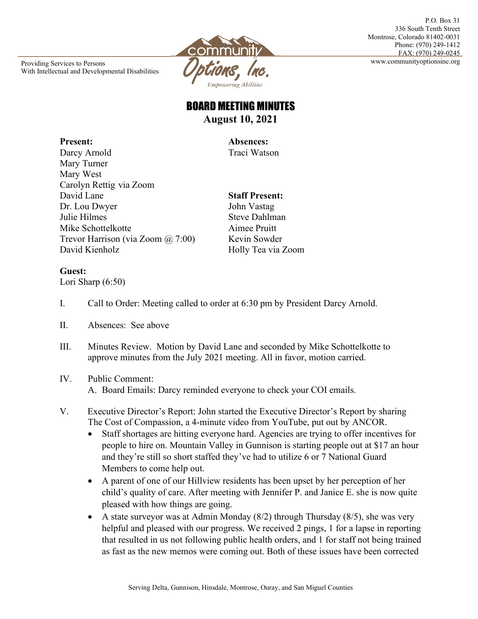Providing Services to Persons **2008** With Intellectual and Developmental Disabilities



P.O. Box 31 336 South Tenth Street Montrose, Colorado 81402-0031 Phone: (970) 249-1412 FAX: (970) 249-0245

# BOARD MEETING MINUTES **August 10, 2021**

**Present: Absences:**

Darcy Arnold Traci Watson Mary Turner Mary West Carolyn Rettig via Zoom David Lane **Staff Present:** Dr. Lou Dwyer John Vastag Julie Hilmes Steve Dahlman Mike Schottelkotte Aimee Pruitt Trevor Harrison (via Zoom @ 7:00) Kevin Sowder David Kienholz Holly Tea via Zoom

### **Guest:**

```
Lori Sharp (6:50)
```
- I. Call to Order: Meeting called to order at 6:30 pm by President Darcy Arnold.
- II. Absences: See above
- III. Minutes Review. Motion by David Lane and seconded by Mike Schottelkotte to approve minutes from the July 2021 meeting. All in favor, motion carried.
- IV. Public Comment: A. Board Emails: Darcy reminded everyone to check your COI emails.
- V. Executive Director's Report: John started the Executive Director's Report by sharing The Cost of Compassion, a 4-minute video from YouTube, put out by ANCOR.
	- Staff shortages are hitting everyone hard. Agencies are trying to offer incentives for people to hire on. Mountain Valley in Gunnison is starting people out at \$17 an hour and they're still so short staffed they've had to utilize 6 or 7 National Guard Members to come help out.
	- A parent of one of our Hillview residents has been upset by her perception of her child's quality of care. After meeting with Jennifer P. and Janice E. she is now quite pleased with how things are going.
	- A state surveyor was at Admin Monday  $(8/2)$  through Thursday  $(8/5)$ , she was very helpful and pleased with our progress. We received 2 pings, 1 for a lapse in reporting that resulted in us not following public health orders, and 1 for staff not being trained as fast as the new memos were coming out. Both of these issues have been corrected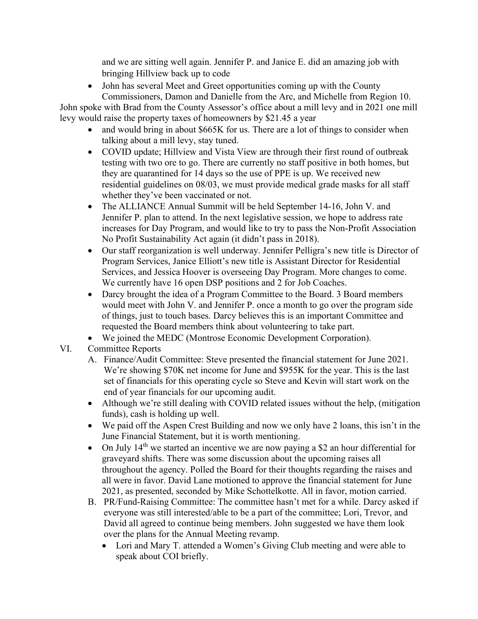and we are sitting well again. Jennifer P. and Janice E. did an amazing job with bringing Hillview back up to code

• John has several Meet and Greet opportunities coming up with the County Commissioners, Damon and Danielle from the Arc, and Michelle from Region 10.

John spoke with Brad from the County Assessor's office about a mill levy and in 2021 one mill levy would raise the property taxes of homeowners by \$21.45 a year

- and would bring in about \$665K for us. There are a lot of things to consider when talking about a mill levy, stay tuned.
- COVID update; Hillview and Vista View are through their first round of outbreak testing with two ore to go. There are currently no staff positive in both homes, but they are quarantined for 14 days so the use of PPE is up. We received new residential guidelines on 08/03, we must provide medical grade masks for all staff whether they've been vaccinated or not.
- The ALLIANCE Annual Summit will be held September 14-16, John V. and Jennifer P. plan to attend. In the next legislative session, we hope to address rate increases for Day Program, and would like to try to pass the Non-Profit Association No Profit Sustainability Act again (it didn't pass in 2018).
- Our staff reorganization is well underway. Jennifer Pelligra's new title is Director of Program Services, Janice Elliott's new title is Assistant Director for Residential Services, and Jessica Hoover is overseeing Day Program. More changes to come. We currently have 16 open DSP positions and 2 for Job Coaches.
- Darcy brought the idea of a Program Committee to the Board. 3 Board members would meet with John V. and Jennifer P. once a month to go over the program side of things, just to touch bases. Darcy believes this is an important Committee and requested the Board members think about volunteering to take part.
- We joined the MEDC (Montrose Economic Development Corporation).
- VI. Committee Reports
	- A. Finance/Audit Committee: Steve presented the financial statement for June 2021. We're showing \$70K net income for June and \$955K for the year. This is the last set of financials for this operating cycle so Steve and Kevin will start work on the end of year financials for our upcoming audit.
	- Although we're still dealing with COVID related issues without the help, (mitigation funds), cash is holding up well.
	- We paid off the Aspen Crest Building and now we only have 2 loans, this isn't in the June Financial Statement, but it is worth mentioning.
	- On July  $14<sup>th</sup>$  we started an incentive we are now paying a \$2 an hour differential for graveyard shifts. There was some discussion about the upcoming raises all throughout the agency. Polled the Board for their thoughts regarding the raises and all were in favor. David Lane motioned to approve the financial statement for June 2021, as presented, seconded by Mike Schottelkotte. All in favor, motion carried.
	- B. PR/Fund-Raising Committee: The committee hasn't met for a while. Darcy asked if everyone was still interested/able to be a part of the committee; Lori, Trevor, and David all agreed to continue being members. John suggested we have them look over the plans for the Annual Meeting revamp.
		- Lori and Mary T. attended a Women's Giving Club meeting and were able to speak about COI briefly.